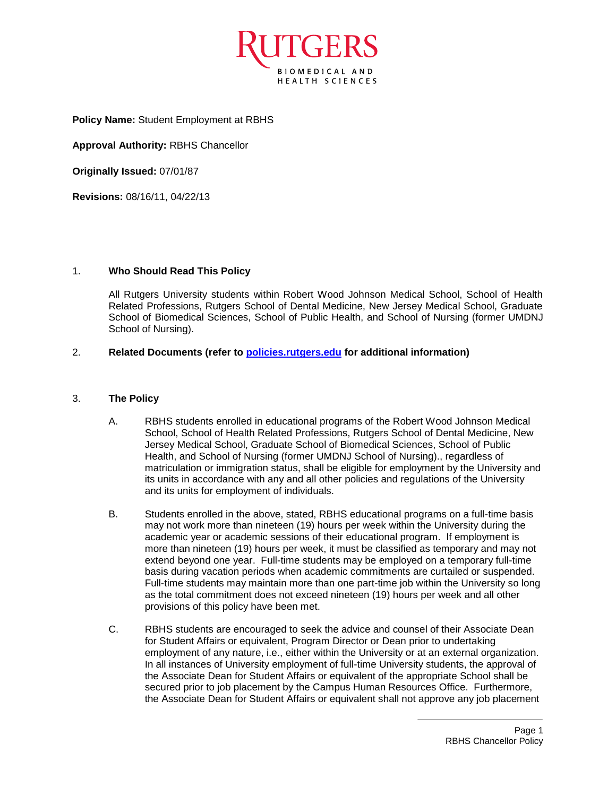

**Policy Name:** Student Employment at RBHS

**Approval Authority:** RBHS Chancellor

**Originally Issued:** 07/01/87

**Revisions:** 08/16/11, 04/22/13

## 1. **Who Should Read This Policy**

All Rutgers University students within Robert Wood Johnson Medical School, School of Health Related Professions, Rutgers School of Dental Medicine, New Jersey Medical School, Graduate School of Biomedical Sciences, School of Public Health, and School of Nursing (former UMDNJ School of Nursing).

## 2. **Related Documents (refer to [policies.rutgers.edu](file:///C:/Users/rsedlackpr001/Documents/Rutgers/Policies/RBHS%20Policies/policies.rutgers.edu) for additional information)**

## 3. **The Policy**

- A. RBHS students enrolled in educational programs of the Robert Wood Johnson Medical School, School of Health Related Professions, Rutgers School of Dental Medicine, New Jersey Medical School, Graduate School of Biomedical Sciences, School of Public Health, and School of Nursing (former UMDNJ School of Nursing)., regardless of matriculation or immigration status, shall be eligible for employment by the University and its units in accordance with any and all other policies and regulations of the University and its units for employment of individuals.
- B. Students enrolled in the above, stated, RBHS educational programs on a full-time basis may not work more than nineteen (19) hours per week within the University during the academic year or academic sessions of their educational program. If employment is more than nineteen (19) hours per week, it must be classified as temporary and may not extend beyond one year. Full-time students may be employed on a temporary full-time basis during vacation periods when academic commitments are curtailed or suspended. Full-time students may maintain more than one part-time job within the University so long as the total commitment does not exceed nineteen (19) hours per week and all other provisions of this policy have been met.
- C. RBHS students are encouraged to seek the advice and counsel of their Associate Dean for Student Affairs or equivalent, Program Director or Dean prior to undertaking employment of any nature, i.e., either within the University or at an external organization. In all instances of University employment of full-time University students, the approval of the Associate Dean for Student Affairs or equivalent of the appropriate School shall be secured prior to job placement by the Campus Human Resources Office. Furthermore, the Associate Dean for Student Affairs or equivalent shall not approve any job placement